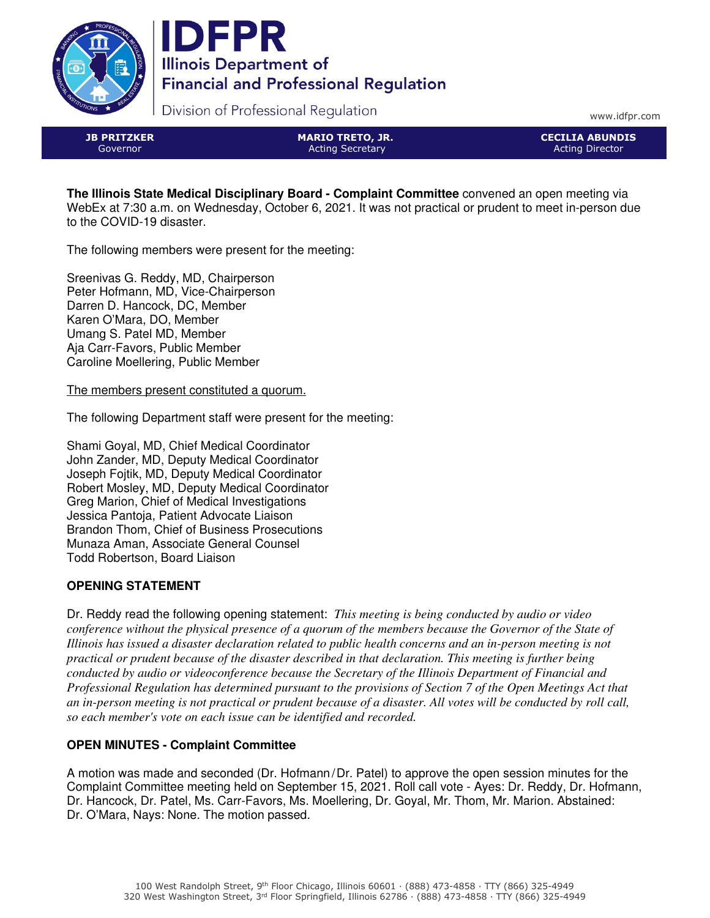



Division of Professional Regulation

www.idfpr.com

JB PRITZKER Governor

MARIO TRETO, JR. Acting Secretary

CECILIA ABUNDIS Acting Director

**The Illinois State Medical Disciplinary Board - Complaint Committee** convened an open meeting via WebEx at 7:30 a.m. on Wednesday, October 6, 2021. It was not practical or prudent to meet in-person due to the COVID-19 disaster.

The following members were present for the meeting:

Sreenivas G. Reddy, MD, Chairperson Peter Hofmann, MD, Vice-Chairperson Darren D. Hancock, DC, Member Karen O'Mara, DO, Member Umang S. Patel MD, Member Aja Carr-Favors, Public Member Caroline Moellering, Public Member

The members present constituted a quorum.

The following Department staff were present for the meeting:

Shami Goyal, MD, Chief Medical Coordinator John Zander, MD, Deputy Medical Coordinator Joseph Fojtik, MD, Deputy Medical Coordinator Robert Mosley, MD, Deputy Medical Coordinator Greg Marion, Chief of Medical Investigations Jessica Pantoja, Patient Advocate Liaison Brandon Thom, Chief of Business Prosecutions Munaza Aman, Associate General Counsel Todd Robertson, Board Liaison

# **OPENING STATEMENT**

Dr. Reddy read the following opening statement: *This meeting is being conducted by audio or video conference without the physical presence of a quorum of the members because the Governor of the State of Illinois has issued a disaster declaration related to public health concerns and an in-person meeting is not practical or prudent because of the disaster described in that declaration. This meeting is further being conducted by audio or videoconference because the Secretary of the Illinois Department of Financial and Professional Regulation has determined pursuant to the provisions of Section 7 of the Open Meetings Act that an in-person meeting is not practical or prudent because of a disaster. All votes will be conducted by roll call, so each member's vote on each issue can be identified and recorded.*

# **OPEN MINUTES - Complaint Committee**

A motion was made and seconded (Dr. Hofmann/Dr. Patel) to approve the open session minutes for the Complaint Committee meeting held on September 15, 2021. Roll call vote - Ayes: Dr. Reddy, Dr. Hofmann, Dr. Hancock, Dr. Patel, Ms. Carr-Favors, Ms. Moellering, Dr. Goyal, Mr. Thom, Mr. Marion. Abstained: Dr. O'Mara, Nays: None. The motion passed.